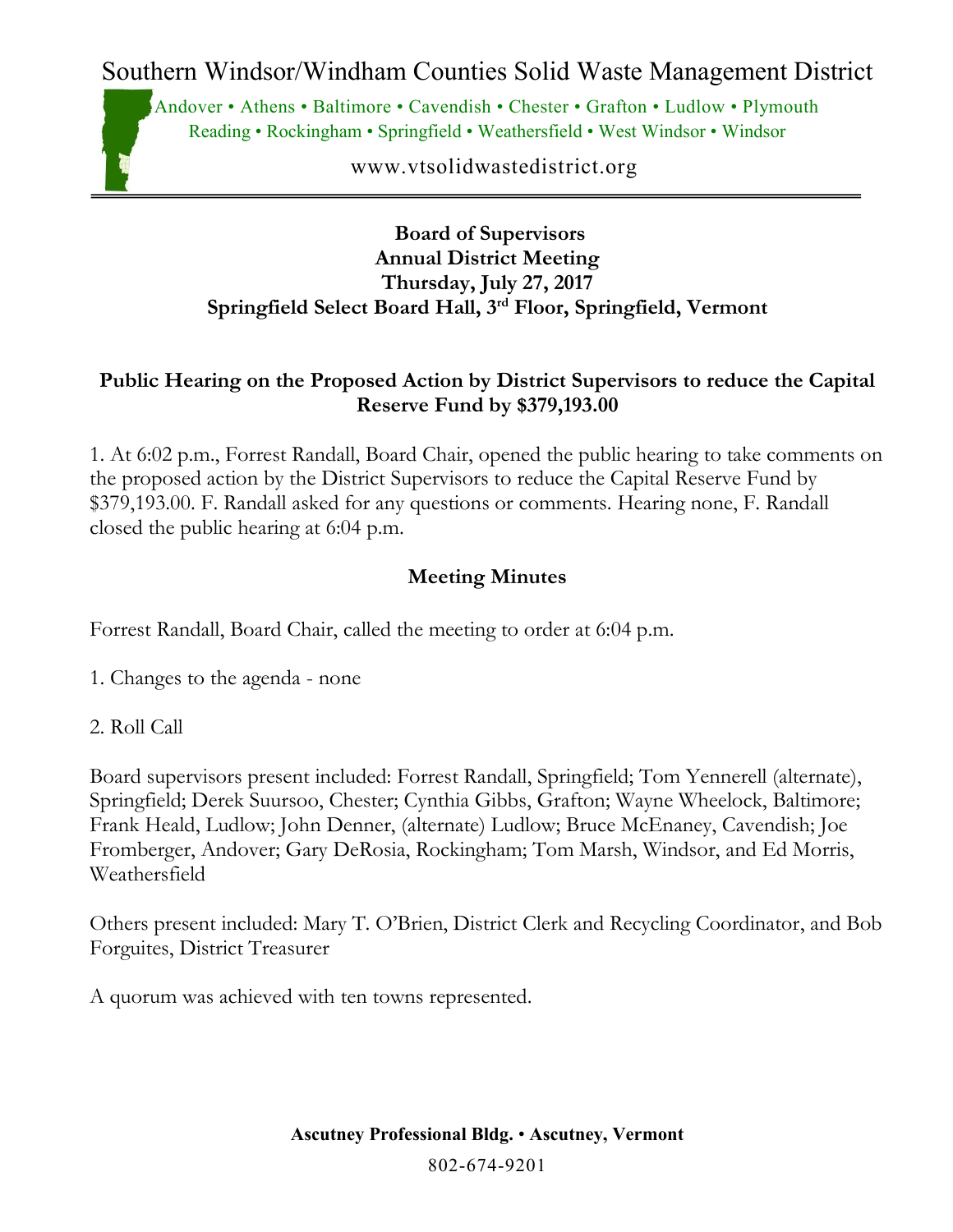Southern Windsor/Windham Counties Solid Waste Management District

Andover • Athens • Baltimore • Cavendish • Chester • Grafton • Ludlow • Plymouth Reading • Rockingham • Springfield • Weathersfield • West Windsor • Windsor

www.vtsolidwastedistrict.org

#### **Board of Supervisors Annual District Meeting Thursday, July 27, 2017 Springfield Select Board Hall, 3rd Floor, Springfield, Vermont**

### **Public Hearing on the Proposed Action by District Supervisors to reduce the Capital Reserve Fund by \$379,193.00**

1. At 6:02 p.m., Forrest Randall, Board Chair, opened the public hearing to take comments on the proposed action by the District Supervisors to reduce the Capital Reserve Fund by \$379,193.00. F. Randall asked for any questions or comments. Hearing none, F. Randall closed the public hearing at 6:04 p.m.

### **Meeting Minutes**

Forrest Randall, Board Chair, called the meeting to order at 6:04 p.m.

- 1. Changes to the agenda none
- 2. Roll Call

Board supervisors present included: Forrest Randall, Springfield; Tom Yennerell (alternate), Springfield; Derek Suursoo, Chester; Cynthia Gibbs, Grafton; Wayne Wheelock, Baltimore; Frank Heald, Ludlow; John Denner, (alternate) Ludlow; Bruce McEnaney, Cavendish; Joe Fromberger, Andover; Gary DeRosia, Rockingham; Tom Marsh, Windsor, and Ed Morris, Weathersfield

Others present included: Mary T. O'Brien, District Clerk and Recycling Coordinator, and Bob Forguites, District Treasurer

A quorum was achieved with ten towns represented.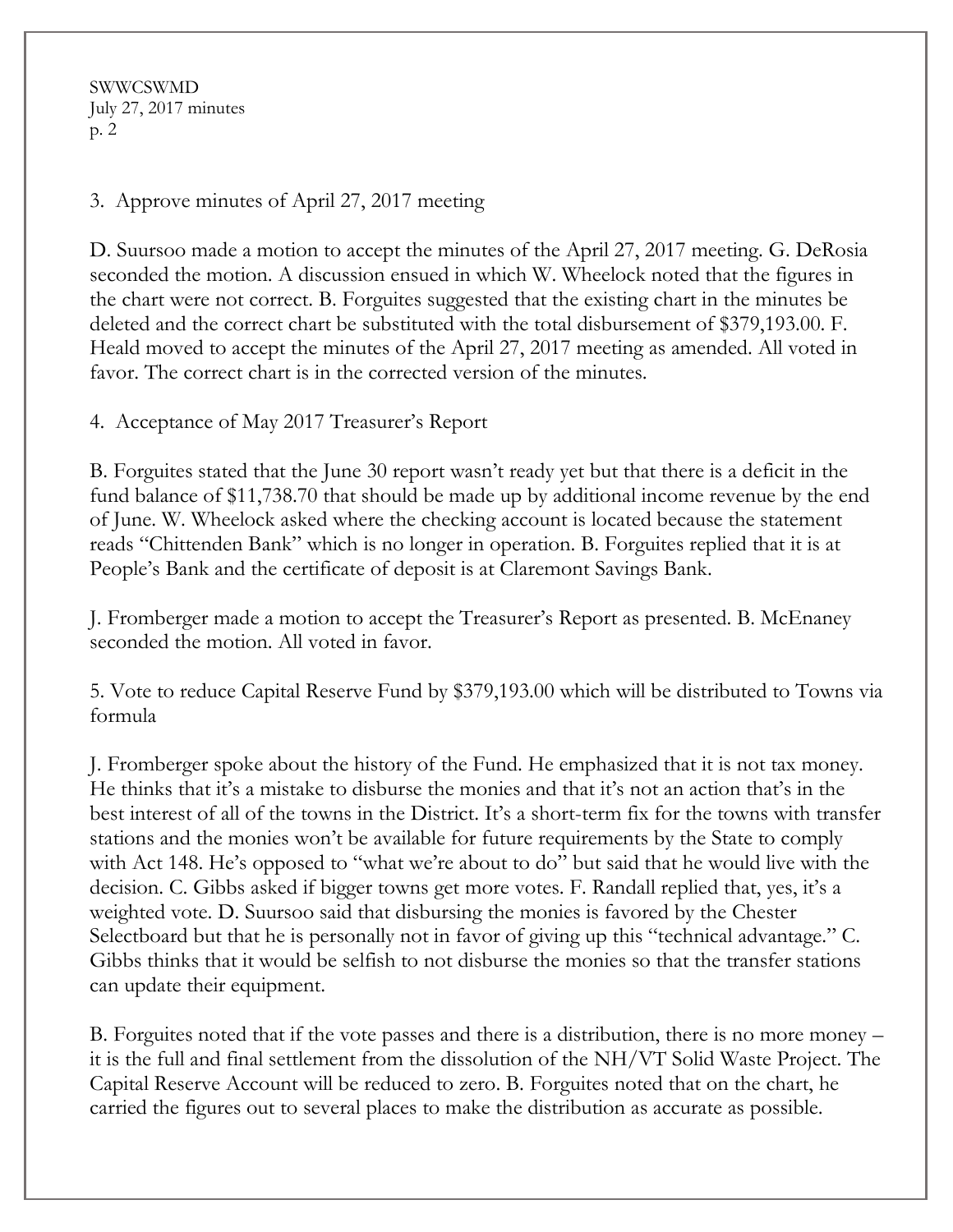SWWCSWMD July 27, 2017 minutes p. 2

3. Approve minutes of April 27, 2017 meeting

D. Suursoo made a motion to accept the minutes of the April 27, 2017 meeting. G. DeRosia seconded the motion. A discussion ensued in which W. Wheelock noted that the figures in the chart were not correct. B. Forguites suggested that the existing chart in the minutes be deleted and the correct chart be substituted with the total disbursement of \$379,193.00. F. Heald moved to accept the minutes of the April 27, 2017 meeting as amended. All voted in favor. The correct chart is in the corrected version of the minutes.

4. Acceptance of May 2017 Treasurer's Report

B. Forguites stated that the June 30 report wasn't ready yet but that there is a deficit in the fund balance of \$11,738.70 that should be made up by additional income revenue by the end of June. W. Wheelock asked where the checking account is located because the statement reads "Chittenden Bank" which is no longer in operation. B. Forguites replied that it is at People's Bank and the certificate of deposit is at Claremont Savings Bank.

J. Fromberger made a motion to accept the Treasurer's Report as presented. B. McEnaney seconded the motion. All voted in favor.

5. Vote to reduce Capital Reserve Fund by \$379,193.00 which will be distributed to Towns via formula

J. Fromberger spoke about the history of the Fund. He emphasized that it is not tax money. He thinks that it's a mistake to disburse the monies and that it's not an action that's in the best interest of all of the towns in the District. It's a short-term fix for the towns with transfer stations and the monies won't be available for future requirements by the State to comply with Act 148. He's opposed to "what we're about to do" but said that he would live with the decision. C. Gibbs asked if bigger towns get more votes. F. Randall replied that, yes, it's a weighted vote. D. Suursoo said that disbursing the monies is favored by the Chester Selectboard but that he is personally not in favor of giving up this "technical advantage." C. Gibbs thinks that it would be selfish to not disburse the monies so that the transfer stations can update their equipment.

B. Forguites noted that if the vote passes and there is a distribution, there is no more money – it is the full and final settlement from the dissolution of the NH/VT Solid Waste Project. The Capital Reserve Account will be reduced to zero. B. Forguites noted that on the chart, he carried the figures out to several places to make the distribution as accurate as possible.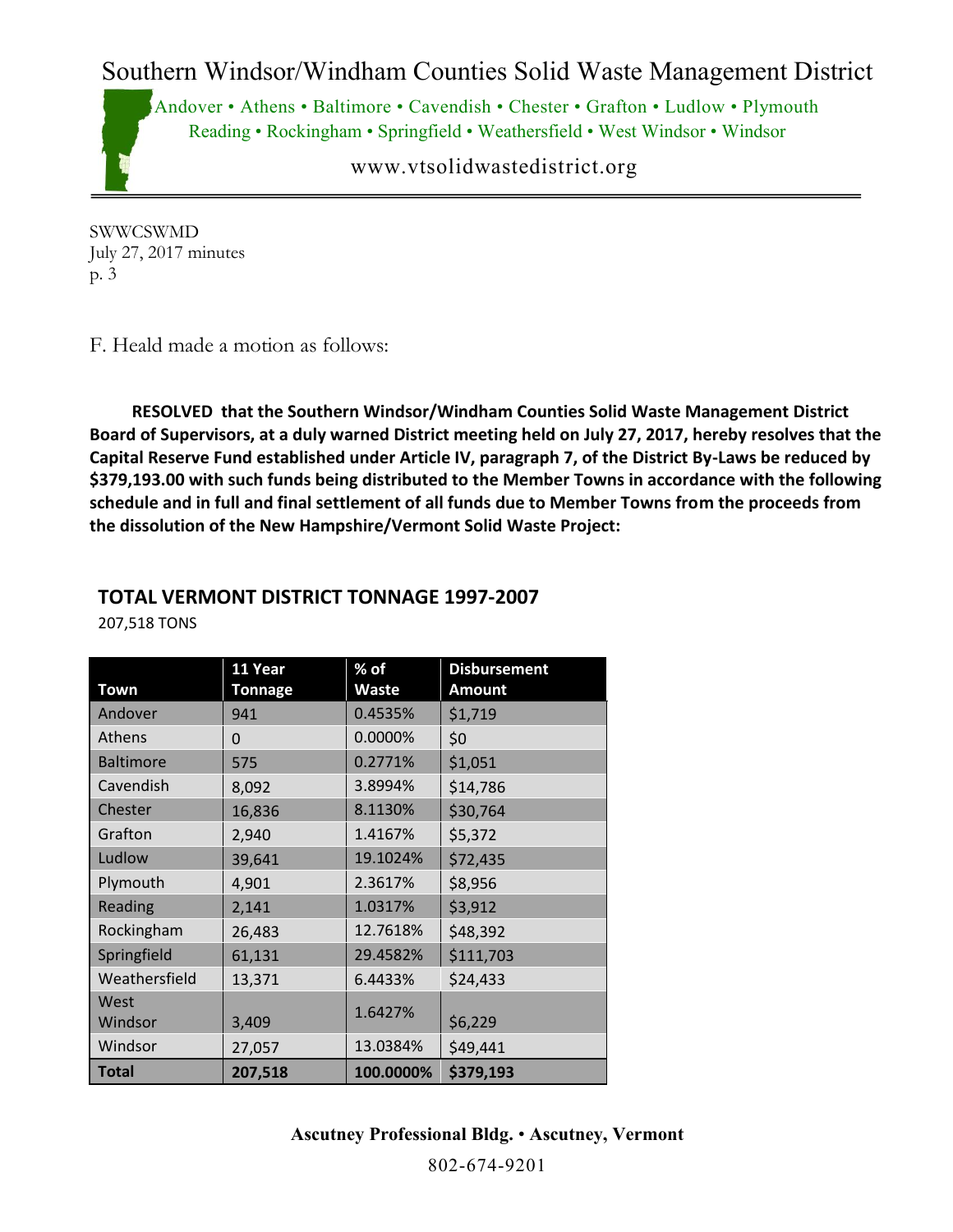## Southern Windsor/Windham Counties Solid Waste Management District

Andover • Athens • Baltimore • Cavendish • Chester • Grafton • Ludlow • Plymouth Reading • Rockingham • Springfield • Weathersfield • West Windsor • Windsor

www.vtsolidwastedistrict.org

SWWCSWMD July 27, 2017 minutes p. 3

F. Heald made a motion as follows:

 **RESOLVED that the Southern Windsor/Windham Counties Solid Waste Management District Board of Supervisors, at a duly warned District meeting held on July 27, 2017, hereby resolves that the Capital Reserve Fund established under Article IV, paragraph 7, of the District By-Laws be reduced by \$379,193.00 with such funds being distributed to the Member Towns in accordance with the following schedule and in full and final settlement of all funds due to Member Towns from the proceeds from the dissolution of the New Hampshire/Vermont Solid Waste Project:**

### **TOTAL VERMONT DISTRICT TONNAGE 1997-2007**

| Town             | 11 Year<br><b>Tonnage</b> | % of<br><b>Waste</b> | <b>Disbursement</b><br><b>Amount</b> |
|------------------|---------------------------|----------------------|--------------------------------------|
| Andover          | 941                       | 0.4535%              | \$1,719                              |
| Athens           | 0                         | 0.0000%              | \$0                                  |
| <b>Baltimore</b> | 575                       | 0.2771%              | \$1,051                              |
| Cavendish        | 8,092                     | 3.8994%              | \$14,786                             |
| Chester          | 16,836                    | 8.1130%              | \$30,764                             |
| Grafton          | 2,940                     | 1.4167%              | \$5,372                              |
| Ludlow           | 39,641                    | 19.1024%             | \$72,435                             |
| Plymouth         | 4,901                     | 2.3617%              | \$8,956                              |
| Reading          | 2,141                     | 1.0317%              | \$3,912                              |
| Rockingham       | 26,483                    | 12.7618%             | \$48,392                             |
| Springfield      | 61,131                    | 29.4582%             | \$111,703                            |
| Weathersfield    | 13,371                    | 6.4433%              | \$24,433                             |
| West             |                           | 1.6427%              |                                      |
| Windsor          | 3,409                     |                      | \$6,229                              |
| Windsor          | 27,057                    | 13.0384%             | \$49,441                             |
| <b>Total</b>     | 207,518                   | 100.0000%            | \$379,193                            |

207,518 TONS

**Ascutney Professional Bldg.** • **Ascutney, Vermont**

802-674-9201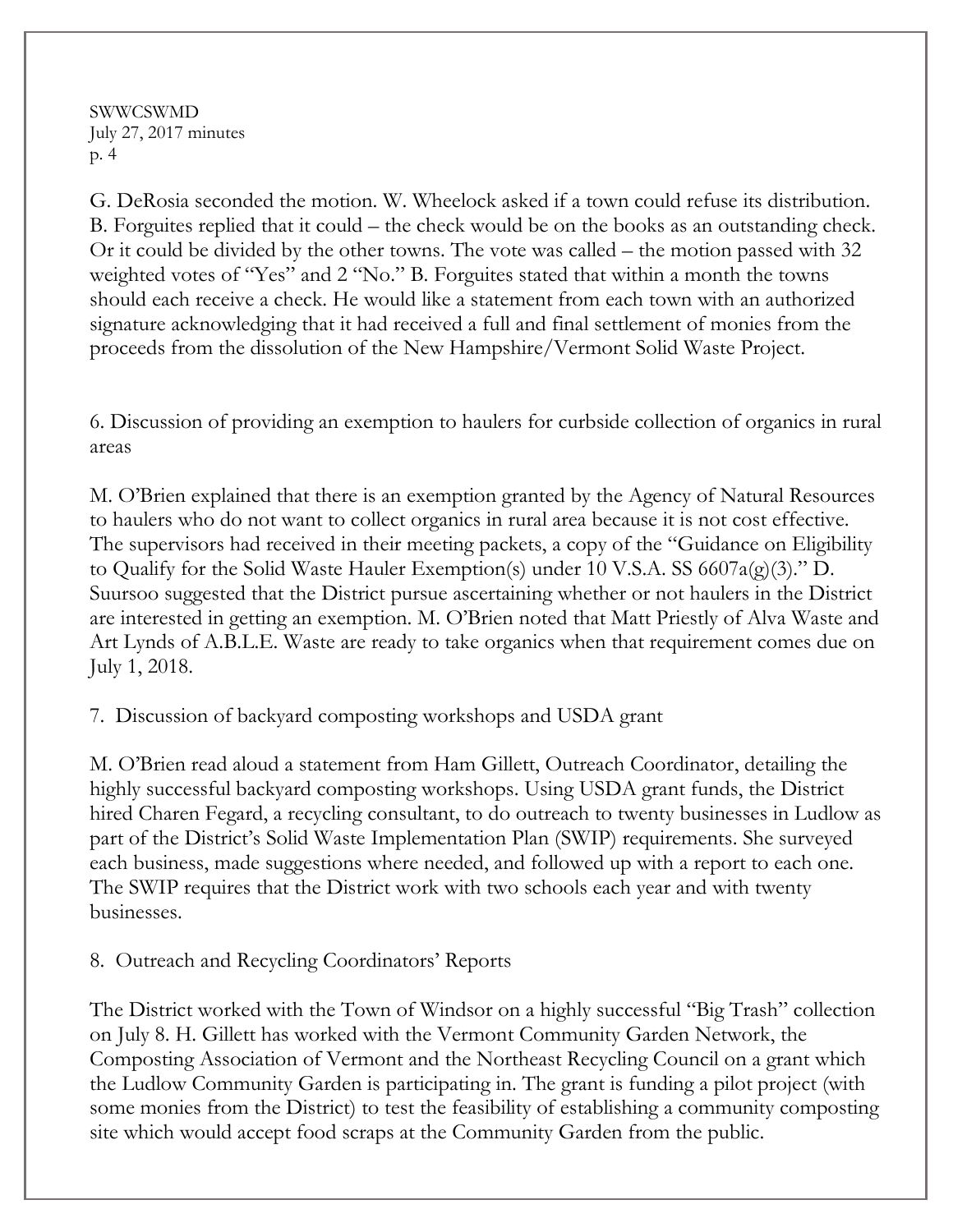SWWCSWMD July 27, 2017 minutes p. 4

G. DeRosia seconded the motion. W. Wheelock asked if a town could refuse its distribution. B. Forguites replied that it could – the check would be on the books as an outstanding check. Or it could be divided by the other towns. The vote was called – the motion passed with 32 weighted votes of "Yes" and 2 "No." B. Forguites stated that within a month the towns should each receive a check. He would like a statement from each town with an authorized signature acknowledging that it had received a full and final settlement of monies from the proceeds from the dissolution of the New Hampshire/Vermont Solid Waste Project.

6. Discussion of providing an exemption to haulers for curbside collection of organics in rural areas

M. O'Brien explained that there is an exemption granted by the Agency of Natural Resources to haulers who do not want to collect organics in rural area because it is not cost effective. The supervisors had received in their meeting packets, a copy of the "Guidance on Eligibility to Qualify for the Solid Waste Hauler Exemption(s) under 10 V.S.A. SS 6607a(g)(3)." D. Suursoo suggested that the District pursue ascertaining whether or not haulers in the District are interested in getting an exemption. M. O'Brien noted that Matt Priestly of Alva Waste and Art Lynds of A.B.L.E. Waste are ready to take organics when that requirement comes due on July 1, 2018.

7. Discussion of backyard composting workshops and USDA grant

M. O'Brien read aloud a statement from Ham Gillett, Outreach Coordinator, detailing the highly successful backyard composting workshops. Using USDA grant funds, the District hired Charen Fegard, a recycling consultant, to do outreach to twenty businesses in Ludlow as part of the District's Solid Waste Implementation Plan (SWIP) requirements. She surveyed each business, made suggestions where needed, and followed up with a report to each one. The SWIP requires that the District work with two schools each year and with twenty businesses.

8. Outreach and Recycling Coordinators' Reports

The District worked with the Town of Windsor on a highly successful "Big Trash" collection on July 8. H. Gillett has worked with the Vermont Community Garden Network, the Composting Association of Vermont and the Northeast Recycling Council on a grant which the Ludlow Community Garden is participating in. The grant is funding a pilot project (with some monies from the District) to test the feasibility of establishing a community composting site which would accept food scraps at the Community Garden from the public.